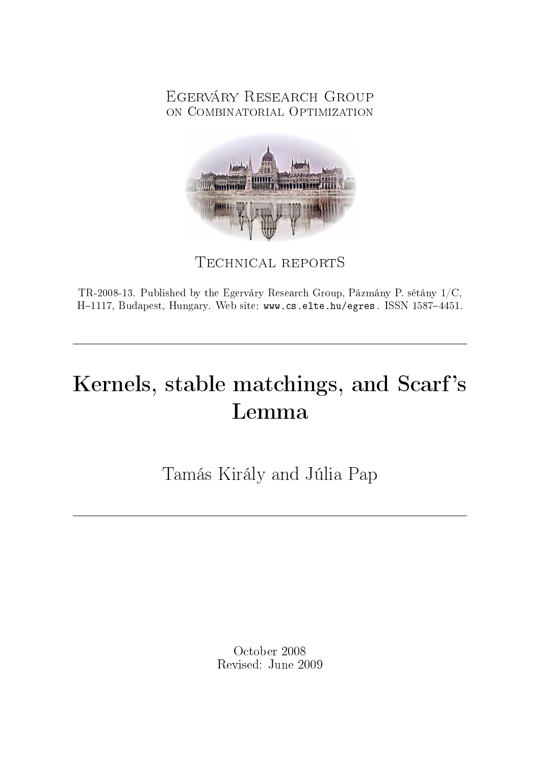## Egerváry Research Group on Combinatorial Optimization



Technical reportS

TR-2008-13. Published by the Egerváry Research Group, Pázmány P. sétány 1/C, H-1117, Budapest, Hungary. Web site: www.cs.elte.hu/egres. ISSN 1587-4451.

# Kernels, stable matchings, and Scarf's Lemma

Tamás Király and Júlia Pap

October 2008 Revised: June 2009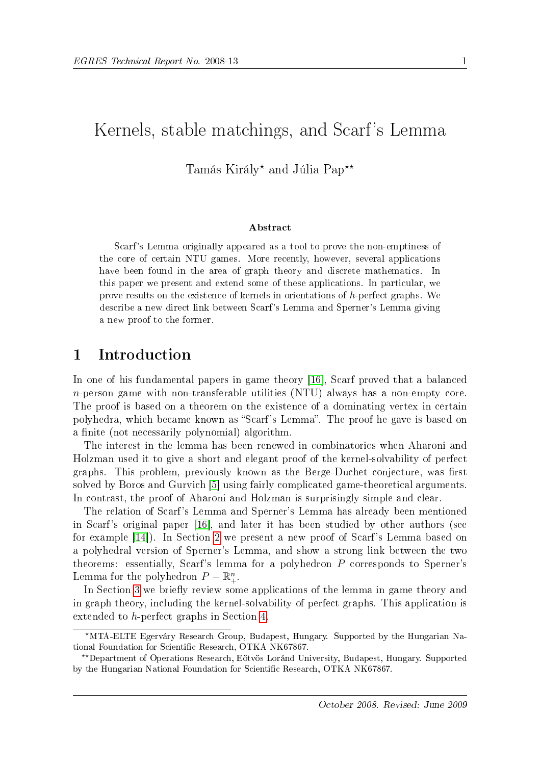## Kernels, stable matchings, and Scarf's Lemma

## Tamás Király\* and Júlia Pap<sup>\*\*</sup>

#### Abstract

Scarf's Lemma originally appeared as a tool to prove the non-emptiness of the core of certain NTU games. More recently, however, several applications have been found in the area of graph theory and discrete mathematics. In this paper we present and extend some of these applications. In particular, we prove results on the existence of kernels in orientations of h-perfect graphs. We describe a new direct link between Scarf's Lemma and Sperner's Lemma giving a new proof to the former.

### 1 Introduction

In one of his fundamental papers in game theory [\[16\]](#page-14-0), Scarf proved that a balanced n-person game with non-transferable utilities (NTU) always has a non-empty core. The proof is based on a theorem on the existence of a dominating vertex in certain polyhedra, which became known as "Scarf's Lemma". The proof he gave is based on a finite (not necessarily polynomial) algorithm.

The interest in the lemma has been renewed in combinatorics when Aharoni and Holzman used it to give a short and elegant proof of the kernel-solvability of perfect graphs. This problem, previously known as the Berge-Duchet conjecture, was first solved by Boros and Gurvich [\[5\]](#page-13-0) using fairly complicated game-theoretical arguments. In contrast, the proof of Aharoni and Holzman is surprisingly simple and clear.

The relation of Scarf's Lemma and Sperner's Lemma has already been mentioned in Scarf's original paper [\[16\]](#page-14-0), and later it has been studied by other authors (see for example [\[14\]](#page-14-1)). In Section [2](#page-2-0) we present a new proof of Scarf's Lemma based on a polyhedral version of Sperner's Lemma, and show a strong link between the two theorems: essentially, Scarf's lemma for a polyhedron P corresponds to Sperner's Lemma for the polyhedron  $P - \mathbb{R}^n_+$ .

In Section [3](#page-4-0) we briefly review some applications of the lemma in game theory and in graph theory, including the kernel-solvability of perfect graphs. This application is extended to h-perfect graphs in Section [4.](#page-8-0)

<sup>?</sup>MTA-ELTE Egerváry Research Group, Budapest, Hungary. Supported by the Hungarian National Foundation for Scientific Research, OTKA NK67867.

<sup>??</sup>Department of Operations Research, Eötvös Loránd University, Budapest, Hungary. Supported by the Hungarian National Foundation for Scientific Research, OTKA NK67867.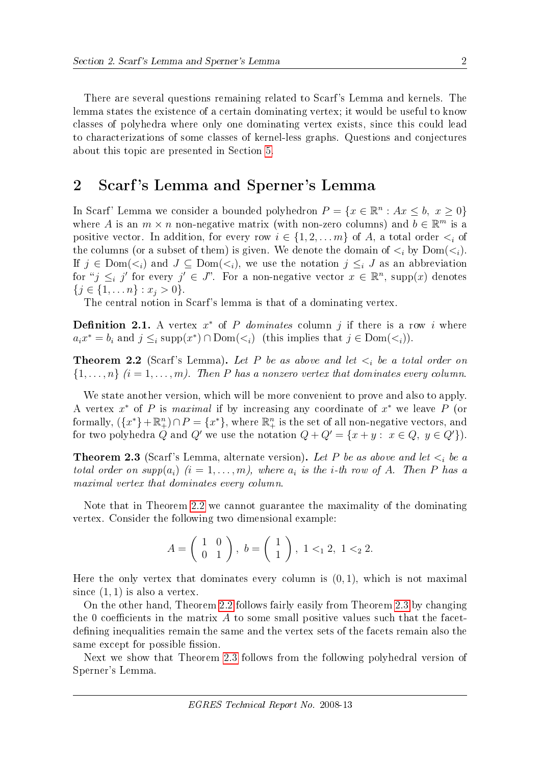There are several questions remaining related to Scarf's Lemma and kernels. The lemma states the existence of a certain dominating vertex; it would be useful to know classes of polyhedra where only one dominating vertex exists, since this could lead to characterizations of some classes of kernel-less graphs. Questions and conjectures about this topic are presented in Section [5.](#page-10-0)

## <span id="page-2-0"></span>2 Scarf 's Lemma and Sperner's Lemma

In Scarf' Lemma we consider a bounded polyhedron  $P = \{x \in \mathbb{R}^n : Ax \leq b, x \geq 0\}$ where A is an  $m \times n$  non-negative matrix (with non-zero columns) and  $b \in \mathbb{R}^m$  is a positive vector. In addition, for every row  $i \in \{1, 2, ..., m\}$  of A, a total order  $\lt_i$  of the columns (or a subset of them) is given. We denote the domain of  $\lt_i$  by  $Dom(\lt_i)$ . If  $j \in Dom(\lt_i)$  and  $J \subseteq Dom(\lt_i)$ , we use the notation  $j \leq i J$  as an abbreviation for " $j \leq i$  j' for every  $j' \in J$ ". For a non-negative vector  $x \in \mathbb{R}^n$ , supp $(x)$  denotes  $\{j \in \{1, \ldots n\} : x_j > 0\}.$ 

The central notion in Scarf's lemma is that of a dominating vertex.

**Definition 2.1.** A vertex  $x^*$  of P dominates column j if there is a row i where  $a_i x^* = b_i$  and  $j \leq_i \text{supp}(x^*) \cap \text{Dom}(\lt_i)$  (this implies that  $j \in \text{Dom}(\lt_i)$ ).

<span id="page-2-1"></span>**Theorem 2.2** (Scarf's Lemma). Let P be as above and let  $\lt_i$  be a total order on  $\{1,\ldots,n\}$   $(i=1,\ldots,m)$ . Then P has a nonzero vertex that dominates every column.

We state another version, which will be more convenient to prove and also to apply. A vertex  $x^*$  of P is maximal if by increasing any coordinate of  $x^*$  we leave P (or formally,  $(\lbrace x^* \rbrace + \mathbb{R}^n_+) \cap P = \lbrace x^* \rbrace$ , where  $\mathbb{R}^n_+$  is the set of all non-negative vectors, and for two polyhedra Q and Q' we use the notation  $Q + Q' = \{x + y : x \in Q, y \in Q'\}.$ 

<span id="page-2-2"></span>**Theorem 2.3** (Scarf's Lemma, alternate version). Let P be as above and let  $\lt_i$  be a total order on  $supp(a_i)$   $(i = 1, ..., m)$ , where  $a_i$  is the *i*-th row of A. Then P has a maximal vertex that dominates every column.

Note that in Theorem [2.2](#page-2-1) we cannot guarantee the maximality of the dominating vertex. Consider the following two dimensional example:

$$
A = \left(\begin{array}{cc} 1 & 0 \\ 0 & 1 \end{array}\right), \ b = \left(\begin{array}{c} 1 \\ 1 \end{array}\right), \ 1 <_1 2, \ 1 <_2 2.
$$

Here the only vertex that dominates every column is  $(0, 1)$ , which is not maximal since  $(1, 1)$  is also a vertex.

On the other hand, Theorem [2.2](#page-2-1) follows fairly easily from Theorem [2.3](#page-2-2) by changing the 0 coefficients in the matrix  $\vec{A}$  to some small positive values such that the facetdefining inequalities remain the same and the vertex sets of the facets remain also the same except for possible fission.

Next we show that Theorem [2.3](#page-2-2) follows from the following polyhedral version of Sperner's Lemma.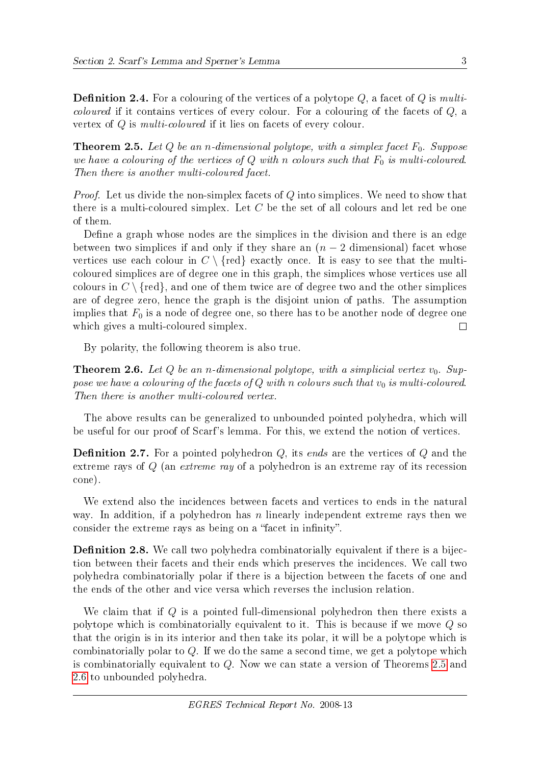**Definition 2.4.** For a colouring of the vertices of a polytope  $Q$ , a facet of  $Q$  is multi*coloured* if it contains vertices of every colour. For a colouring of the facets of  $Q$ , a vertex of Q is multi-coloured if it lies on facets of every colour.

<span id="page-3-0"></span>**Theorem 2.5.** Let Q be an n-dimensional polytope, with a simplex facet  $F_0$ . Suppose we have a colouring of the vertices of  $Q$  with n colours such that  $F_0$  is multi-coloured. Then there is another multi-coloured facet.

Proof. Let us divide the non-simplex facets of Q into simplices. We need to show that there is a multi-coloured simplex. Let C be the set of all colours and let red be one of them.

Define a graph whose nodes are the simplices in the division and there is an edge between two simplices if and only if they share an  $(n-2)$  dimensional) facet whose vertices use each colour in  $C \setminus \{ \text{red} \}$  exactly once. It is easy to see that the multicoloured simplices are of degree one in this graph, the simplices whose vertices use all colours in  $C \setminus \{ \text{red} \}$ , and one of them twice are of degree two and the other simplices are of degree zero, hence the graph is the disjoint union of paths. The assumption implies that  $F_0$  is a node of degree one, so there has to be another node of degree one which gives a multi-coloured simplex.  $\Box$ 

By polarity, the following theorem is also true.

<span id="page-3-1"></span>**Theorem 2.6.** Let Q be an n-dimensional polytope, with a simplicial vertex  $v_0$ . Suppose we have a colouring of the facets of  $Q$  with n colours such that  $v_0$  is multi-coloured. Then there is another multi-coloured vertex.

The above results can be generalized to unbounded pointed polyhedra, which will be useful for our proof of Scarf's lemma. For this, we extend the notion of vertices.

**Definition 2.7.** For a pointed polyhedron  $Q$ , its ends are the vertices of  $Q$  and the extreme rays of Q (an extreme ray of a polyhedron is an extreme ray of its recession cone).

We extend also the incidences between facets and vertices to ends in the natural way. In addition, if a polyhedron has n linearly independent extreme rays then we consider the extreme rays as being on a "facet in infinity".

**Definition 2.8.** We call two polyhedra combinatorially equivalent if there is a bijection between their facets and their ends which preserves the incidences. We call two polyhedra combinatorially polar if there is a bijection between the facets of one and the ends of the other and vice versa which reverses the inclusion relation.

We claim that if Q is a pointed full-dimensional polyhedron then there exists a polytope which is combinatorially equivalent to it. This is because if we move Q so that the origin is in its interior and then take its polar, it will be a polytope which is combinatorially polar to  $Q$ . If we do the same a second time, we get a polytope which is combinatorially equivalent to Q. Now we can state a version of Theorems [2.5](#page-3-0) and [2.6](#page-3-1) to unbounded polyhedra.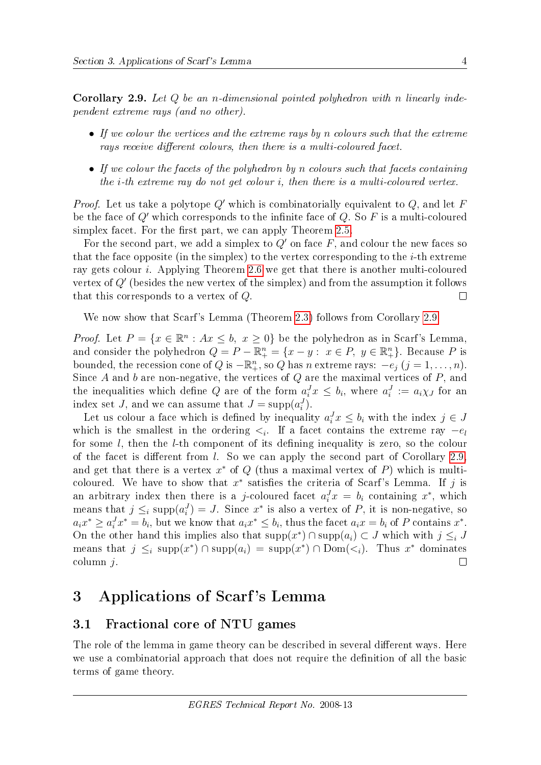<span id="page-4-1"></span>Corollary 2.9. Let Q be an n-dimensional pointed polyhedron with n linearly independent extreme rays (and no other).

- If we colour the vertices and the extreme rays by n colours such that the extreme rays receive different colours, then there is a multi-coloured facet.
- If we colour the facets of the polyhedron by n colours such that facets containing the i-th extreme ray do not get colour i, then there is a multi-coloured vertex.

*Proof.* Let us take a polytope  $Q'$  which is combinatorially equivalent to  $Q$ , and let F be the face of  $Q'$  which corresponds to the infinite face of  $Q$ . So F is a multi-coloured simplex facet. For the first part, we can apply Theorem [2.5.](#page-3-0)

For the second part, we add a simplex to  $Q'$  on face F, and colour the new faces so that the face opposite (in the simplex) to the vertex corresponding to the *i*-th extreme ray gets colour i. Applying Theorem [2.6](#page-3-1) we get that there is another multi-coloured vertex of  $Q'$  (besides the new vertex of the simplex) and from the assumption it follows that this corresponds to a vertex of Q.  $\Box$ 

We now show that Scarf's Lemma (Theorem [2.3\)](#page-2-2) follows from Corollary [2.9.](#page-4-1)

*Proof.* Let  $P = \{x \in \mathbb{R}^n : Ax \leq b, x \geq 0\}$  be the polyhedron as in Scarf's Lemma, and consider the polyhedron  $Q = P - \mathbb{R}^n_+ = \{x - y : x \in P, y \in \mathbb{R}^n_+\}$ . Because P is bounded, the recession cone of Q is  $-\mathbb{R}^n_+$ , so Q has n extreme rays:  $-e_j$   $(j = 1, ..., n)$ . Since  $A$  and  $b$  are non-negative, the vertices of  $Q$  are the maximal vertices of  $P$ , and the inequalities which define Q are of the form  $a_i^J x \leq b_i$ , where  $a_i^J := a_i \chi_J$  for an index set *J*, and we can assume that  $J = \text{supp}(a_i^J)$ .

Let us colour a face which is defined by inequality  $a_i^J x \leq b_i$  with the index  $j \in J$ which is the smallest in the ordering  $\lt_i$ . If a facet contains the extreme ray  $-e_l$ for some  $l$ , then the  $l$ -th component of its defining inequality is zero, so the colour of the facet is different from  $l$ . So we can apply the second part of Corollary [2.9,](#page-4-1) and get that there is a vertex  $x^*$  of  $Q$  (thus a maximal vertex of  $P$ ) which is multicoloured. We have to show that  $x^*$  satisfies the criteria of Scarf's Lemma. If j is an arbitrary index then there is a j-coloured facet  $a_i^J x = b_i$  containing  $x^*$ , which means that  $j \leq_i \text{supp}(a_i^J) = J$ . Since  $x^*$  is also a vertex of P, it is non-negative, so  $a_i x^* \ge a_i^J x^* = b_i$ , but we know that  $a_i x^* \le b_i$ , thus the facet  $a_i x = b_i$  of P contains  $x^*$ . On the other hand this implies also that  $\text{supp}(x^*) \cap \text{supp}(a_i) \subset J$  which with  $j \leq i$ means that  $j \leq_i \text{supp}(x^*) \cap \text{supp}(a_i) = \text{supp}(x^*) \cap \text{Dom}(\lt_i)$ . Thus  $x^*$  dominates  $\text{column } i.$  $\Box$ 

## <span id="page-4-0"></span>3 Applications of Scarf 's Lemma

#### 3.1 Fractional core of NTU games

The role of the lemma in game theory can be described in several different ways. Here we use a combinatorial approach that does not require the definition of all the basic terms of game theory.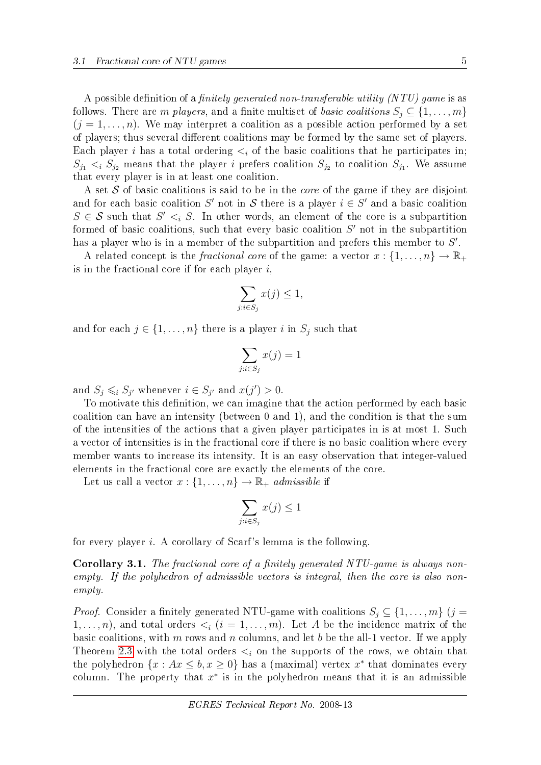A possible definition of a *finitely generated non-transferable utility (NTU) game* is as follows. There are m players, and a finite multiset of basic coalitions  $S_i \subseteq \{1, \ldots, m\}$  $(j = 1, \ldots, n)$ . We may interpret a coalition as a possible action performed by a set of players; thus several different coalitions may be formed by the same set of players. Each player i has a total ordering  $\lt_i$  of the basic coalitions that he participates in;  $S_{j_1} \lt_i S_{j_2}$  means that the player *i* prefers coalition  $S_{j_2}$  to coalition  $S_{j_1}$ . We assume that every player is in at least one coalition.

A set  $S$  of basic coalitions is said to be in the *core* of the game if they are disjoint and for each basic coalition S' not in S there is a player  $i \in S'$  and a basic coalition  $S \in \mathcal{S}$  such that  $S' \leq i S$ . In other words, an element of the core is a subpartition formed of basic coalitions, such that every basic coalition  $S'$  not in the subpartition has a player who is in a member of the subpartition and prefers this member to  $S'$ .

A related concept is the *fractional core* of the game: a vector  $x: \{1, \ldots, n\} \to \mathbb{R}_+$ is in the fractional core if for each player  $i$ ,

$$
\sum_{j:i \in S_j} x(j) \le 1,
$$

and for each  $j \in \{1, \ldots, n\}$  there is a player i in  $S_j$  such that

$$
\sum_{j:i\in S_j} x(j) = 1
$$

and  $S_j \leq i S_{j'}$  whenever  $i \in S_{j'}$  and  $x(j') > 0$ .

To motivate this definition, we can imagine that the action performed by each basic coalition can have an intensity (between 0 and 1), and the condition is that the sum of the intensities of the actions that a given player participates in is at most 1. Such a vector of intensities is in the fractional core if there is no basic coalition where every member wants to increase its intensity. It is an easy observation that integer-valued elements in the fractional core are exactly the elements of the core.

Let us call a vector  $x: \{1, \ldots, n\} \to \mathbb{R}_+$  admissible if

$$
\sum_{j:i\in S_j} x(j) \le 1
$$

for every player i. A corollary of Scarf's lemma is the following.

**Corollary 3.1.** The fractional core of a finitely generated NTU-game is always nonempty. If the polyhedron of admissible vectors is integral, then the core is also nonempty.

*Proof.* Consider a finitely generated NTU-game with coalitions  $S_j \subseteq \{1, \ldots, m\}$  (j =  $1, \ldots, n$ , and total orders  $\lt_i$   $(i = 1, \ldots, m)$ . Let A be the incidence matrix of the basic coalitions, with  $m$  rows and  $n$  columns, and let  $b$  be the all-1 vector. If we apply Theorem [2.3](#page-2-2) with the total orders  $\leq_i$  on the supports of the rows, we obtain that the polyhedron  $\{x : Ax \leq b, x \geq 0\}$  has a (maximal) vertex  $x^*$  that dominates every column. The property that  $x^*$  is in the polyhedron means that it is an admissible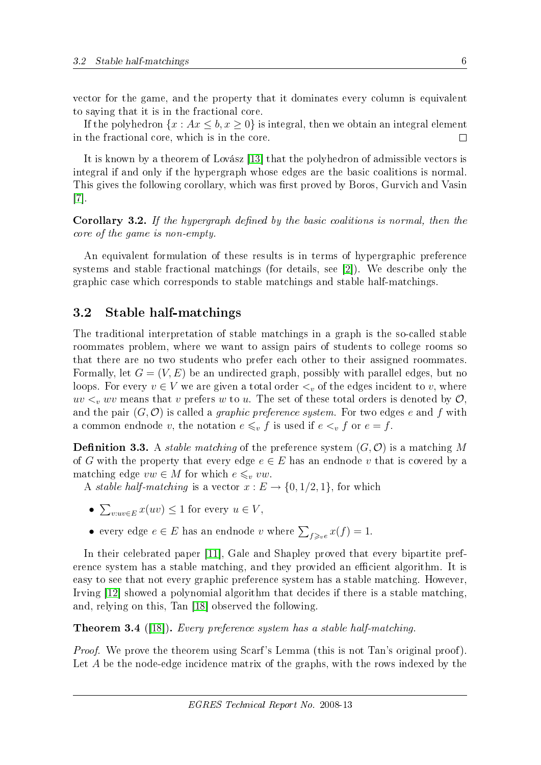vector for the game, and the property that it dominates every column is equivalent to saying that it is in the fractional core.

If the polyhedron  $\{x : Ax \leq b, x \geq 0\}$  is integral, then we obtain an integral element in the fractional core, which is in the core.  $\Box$ 

It is known by a theorem of Lovász [\[13\]](#page-14-2) that the polyhedron of admissible vectors is integral if and only if the hypergraph whose edges are the basic coalitions is normal. This gives the following corollary, which was first proved by Boros, Gurvich and Vasin [\[7\]](#page-14-3).

**Corollary 3.2.** If the hypergraph defined by the basic coalitions is normal, then the core of the game is non-empty.

An equivalent formulation of these results is in terms of hypergraphic preference systems and stable fractional matchings (for details, see [\[2\]](#page-13-1)). We describe only the graphic case which corresponds to stable matchings and stable half-matchings.

#### 3.2 Stable half-matchings

The traditional interpretation of stable matchings in a graph is the so-called stable roommates problem, where we want to assign pairs of students to college rooms so that there are no two students who prefer each other to their assigned roommates. Formally, let  $G = (V, E)$  be an undirected graph, possibly with parallel edges, but no loops. For every  $v \in V$  we are given a total order  $\lt_v$  of the edges incident to v, where  $uv <<sub>v</sub>$  wv means that v prefers w to u. The set of these total orders is denoted by  $\mathcal{O}$ , and the pair  $(G, \mathcal{O})$  is called a *graphic preference system*. For two edges e and f with a common endnode v, the notation  $e \leq v f$  is used if  $e \leq v f$  or  $e = f$ .

**Definition 3.3.** A *stable matching* of the preference system  $(G, \mathcal{O})$  is a matching M of G with the property that every edge  $e \in E$  has an endnode v that is covered by a matching edge  $vw \in M$  for which  $e \leq v w$ .

A stable half-matching is a vector  $x : E \to \{0, 1/2, 1\}$ , for which

- $\sum_{v:uv \in E} x(uv) \leq 1$  for every  $u \in V$ ,
- every edge  $e \in E$  has an endnode v where  $\sum_{f \geq v} x(f) = 1$ .

In their celebrated paper [\[11\]](#page-14-4), Gale and Shapley proved that every bipartite preference system has a stable matching, and they provided an efficient algorithm. It is easy to see that not every graphic preference system has a stable matching. However, Irving [\[12\]](#page-14-5) showed a polynomial algorithm that decides if there is a stable matching, and, relying on this, Tan [\[18\]](#page-14-6) observed the following.

**Theorem 3.4** ([\[18\]](#page-14-6)). Every preference system has a stable half-matching.

Proof. We prove the theorem using Scarf's Lemma (this is not Tan's original proof). Let A be the node-edge incidence matrix of the graphs, with the rows indexed by the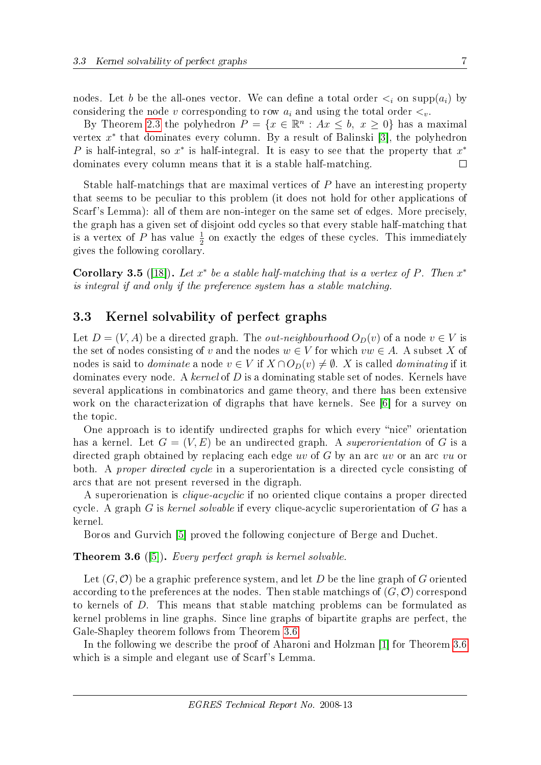nodes. Let b be the all-ones vector. We can define a total order  $\lt_i$  on supp( $a_i$ ) by considering the node v corresponding to row  $a_i$  and using the total order  $\lt_v$ .

By Theorem [2.3](#page-2-2) the polyhedron  $P = \{x \in \mathbb{R}^n : Ax \leq b, x \geq 0\}$  has a maximal vertex  $x^*$  that dominates every column. By a result of Balinski [\[3\]](#page-13-2), the polyhedron P is half-integral, so  $x^*$  is half-integral. It is easy to see that the property that  $x^*$ dominates every column means that it is a stable half-matching.  $\Box$ 

Stable half-matchings that are maximal vertices of P have an interesting property that seems to be peculiar to this problem (it does not hold for other applications of Scarf's Lemma): all of them are non-integer on the same set of edges. More precisely, the graph has a given set of disjoint odd cycles so that every stable half-matching that is a vertex of  $P$  has value  $\frac{1}{2}$  on exactly the edges of these cycles. This immediately gives the following corollary.

Corollary 3.5 ([\[18\]](#page-14-6)). Let  $x^*$  be a stable half-matching that is a vertex of P. Then  $x^*$ is integral if and only if the preference system has a stable matching.

#### 3.3 Kernel solvability of perfect graphs

Let  $D = (V, A)$  be a directed graph. The *out-neighbourhood*  $O_D(v)$  of a node  $v \in V$  is the set of nodes consisting of v and the nodes  $w \in V$  for which  $vw \in A$ . A subset X of nodes is said to *dominate* a node  $v \in V$  if  $X \cap O_D(v) \neq \emptyset$ . X is called *dominating* if it dominates every node. A kernel of  $D$  is a dominating stable set of nodes. Kernels have several applications in combinatorics and game theory, and there has been extensive work on the characterization of digraphs that have kernels. See [\[6\]](#page-14-7) for a survey on the topic.

One approach is to identify undirected graphs for which every "nice" orientation has a kernel. Let  $G = (V, E)$  be an undirected graph. A superorientation of G is a directed graph obtained by replacing each edge uv of G by an arc uv or an arc vu or both. A *proper directed cycle* in a superorientation is a directed cycle consisting of arcs that are not present reversed in the digraph.

A superorienation is clique-acyclic if no oriented clique contains a proper directed cycle. A graph  $G$  is kernel solvable if every clique-acyclic superorientation of  $G$  has a kernel.

Boros and Gurvich [\[5\]](#page-13-0) proved the following conjecture of Berge and Duchet.

#### <span id="page-7-0"></span>**Theorem 3.6** ([\[5\]](#page-13-0)). Every perfect graph is kernel solvable.

Let  $(G, \mathcal{O})$  be a graphic preference system, and let D be the line graph of G oriented according to the preferences at the nodes. Then stable matchings of  $(G, \mathcal{O})$  correspond to kernels of D. This means that stable matching problems can be formulated as kernel problems in line graphs. Since line graphs of bipartite graphs are perfect, the Gale-Shapley theorem follows from Theorem [3.6.](#page-7-0)

In the following we describe the proof of Aharoni and Holzman [\[1\]](#page-13-3) for Theorem [3.6](#page-7-0) which is a simple and elegant use of Scarf's Lemma.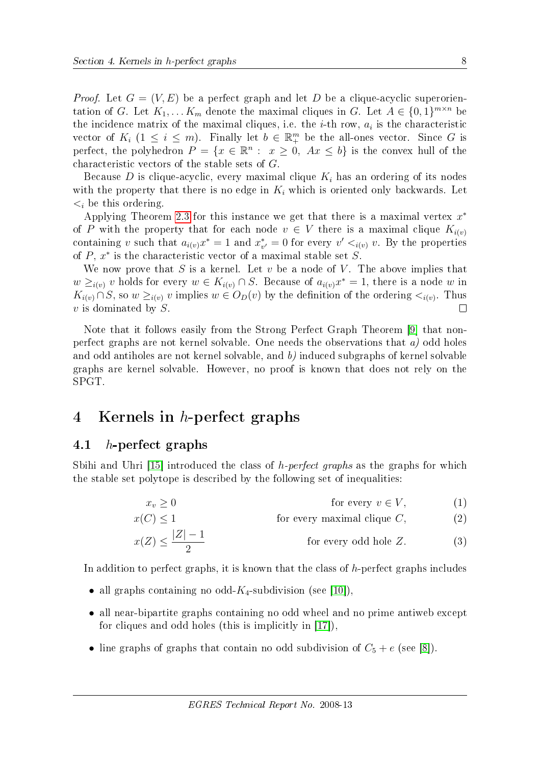*Proof.* Let  $G = (V, E)$  be a perfect graph and let D be a clique-acyclic superorientation of G. Let  $K_1, \ldots K_m$  denote the maximal cliques in G. Let  $A \in \{0,1\}^{m \times n}$  be the incidence matrix of the maximal cliques, i.e. the *i*-th row,  $a_i$  is the characteristic vector of  $K_i$   $(1 \leq i \leq m)$ . Finally let  $b \in \mathbb{R}^m$  be the all-ones vector. Since G is perfect, the polyhedron  $P = \{x \in \mathbb{R}^n : x \geq 0, Ax \leq b\}$  is the convex hull of the characteristic vectors of the stable sets of G.

Because D is clique-acyclic, every maximal clique  $K_i$  has an ordering of its nodes with the property that there is no edge in  $K_i$  which is oriented only backwards. Let  $\lt_i$  be this ordering.

Applying Theorem [2.3](#page-2-2) for this instance we get that there is a maximal vertex  $x^*$ of P with the property that for each node  $v \in V$  there is a maximal clique  $K_{i(v)}$ containing v such that  $a_{i(v)}x^* = 1$  and  $x^*_{v'} = 0$  for every  $v' \lt_{i(v)} v$ . By the properties of  $P, x^*$  is the characteristic vector of a maximal stable set  $S$ .

We now prove that S is a kernel. Let  $v$  be a node of V. The above implies that  $w \geq_{i(v)} v$  holds for every  $w \in K_{i(v)} \cap S$ . Because of  $a_{i(v)}x^* = 1$ , there is a node w in  $K_{i(v)} \cap S$ , so  $w \geq_{i(v)} v$  implies  $w \in O_D(v)$  by the definition of the ordering  $\lt_{i(v)}$ . Thus  $v$  is dominated by  $S$ .  $\Box$ 

Note that it follows easily from the Strong Perfect Graph Theorem [\[9\]](#page-14-8) that nonperfect graphs are not kernel solvable. One needs the observations that  $a$ ) odd holes and odd antiholes are not kernel solvable, and b) induced subgraphs of kernel solvable graphs are kernel solvable. However, no proof is known that does not rely on the SPGT.

## <span id="page-8-0"></span>4 Kernels in h-perfect graphs

#### 4.1 h-perfect graphs

Sbihi and Uhri  $[15]$  introduced the class of h-perfect graphs as the graphs for which the stable set polytope is described by the following set of inequalities:

<span id="page-8-2"></span><span id="page-8-1"></span> $x_v \geq 0$  for every  $v \in V$ , (1)

$$
x(C) \le 1 \qquad \text{for every maximal clique } C,\tag{2}
$$

$$
x(Z) \le \frac{|Z| - 1}{2}
$$
 for every odd hole Z. (3)

In addition to perfect graphs, it is known that the class of  $h$ -perfect graphs includes

- all graphs containing no odd- $K_4$ -subdivision (see [\[10\]](#page-14-10)),
- all near-bipartite graphs containing no odd wheel and no prime antiweb except for cliques and odd holes (this is implicitly in [\[17\]](#page-14-11)),
- line graphs of graphs that contain no odd subdivision of  $C_5 + e$  (see [\[8\]](#page-14-12)).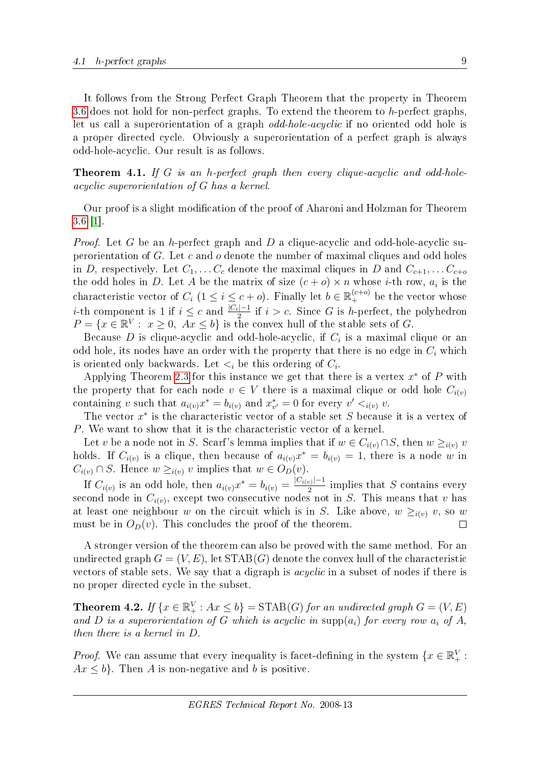It follows from the Strong Perfect Graph Theorem that the property in Theorem [3.6](#page-7-0) does not hold for non-perfect graphs. To extend the theorem to  $h$ -perfect graphs, let us call a superorientation of a graph odd-hole-acyclic if no oriented odd hole is a proper directed cycle. Obviously a superorientation of a perfect graph is always odd-hole-acyclic. Our result is as follows.

<span id="page-9-0"></span>Theorem 4.1. If G is an h-perfect graph then every clique-acyclic and odd-holeacyclic superorientation of G has a kernel.

Our proof is a slight modification of the proof of Aharoni and Holzman for Theorem [3.6](#page-7-0) [\[1\]](#page-13-3).

*Proof.* Let G be an h-perfect graph and D a clique-acyclic and odd-hole-acyclic superorientation of  $G$ . Let  $c$  and  $o$  denote the number of maximal cliques and odd holes in D, respectively. Let  $C_1, \ldots C_c$  denote the maximal cliques in D and  $C_{c+1}, \ldots C_{c+o}$ the odd holes in D. Let A be the matrix of size  $(c + o) \times n$  whose *i*-th row,  $a_i$  is the characteristic vector of  $C_i$   $(1 \leq i \leq c + o)$ . Finally let  $b \in \mathbb{R}_+^{(c+o)}$  be the vector whose *i*-th component is 1 if  $i \leq c$  and  $\frac{|C_i|-1}{2}$  if  $i > c$ . Since G is h-perfect, the polyhedron  $P = \{x \in \mathbb{R}^V : x \ge 0, Ax \le b\}$  is the convex hull of the stable sets of G.

Because  $D$  is clique-acyclic and odd-hole-acyclic, if  $C_i$  is a maximal clique or an odd hole, its nodes have an order with the property that there is no edge in  $C_i$  which is oriented only backwards. Let  $\lt_i$  be this ordering of  $C_i$ .

Applying Theorem [2.3](#page-2-2) for this instance we get that there is a vertex  $x^*$  of P with the property that for each node  $v \in V$  there is a maximal clique or odd hole  $C_{i(v)}$ containing v such that  $a_{i(v)}x^* = b_{i(v)}$  and  $x^*_{v'} = 0$  for every  $v' <_{i(v)} v$ .

The vector  $x^*$  is the characteristic vector of a stable set S because it is a vertex of P. We want to show that it is the characteristic vector of a kernel.

Let v be a node not in S. Scarf's lemma implies that if  $w \in C_{i(v)} \cap S$ , then  $w \geq_{i(v)} v$ holds. If  $C_{i(v)}$  is a clique, then because of  $a_{i(v)}x^* = b_{i(v)} = 1$ , there is a node w in  $C_{i(v)} \cap S$ . Hence  $w \geq_{i(v)} v$  implies that  $w \in O_D(v)$ .

If  $C_{i(v)}$  is an odd hole, then  $a_{i(v)}x^* = b_{i(v)} = \frac{|C_{i(v)}|-1}{2}$  $\frac{1}{2}$  implies that S contains every second node in  $C_{i(v)}$ , except two consecutive nodes not in S. This means that v has at least one neighbour w on the circuit which is in S. Like above,  $w \geq_{i(v)} v$ , so w must be in  $O_D(v)$ . This concludes the proof of the theorem.  $\Box$ 

A stronger version of the theorem can also be proved with the same method. For an undirected graph  $G = (V, E)$ , let  $STAB(G)$  denote the convex hull of the characteristic vectors of stable sets. We say that a digraph is acyclic in a subset of nodes if there is no proper directed cycle in the subset.

**Theorem 4.2.** If  $\{x \in \mathbb{R}_+^V : Ax \leq b\} = \text{STAB}(G)$  for an undirected graph  $G = (V, E)$ and D is a superorientation of G which is acyclic in  $\text{supp}(a_i)$  for every row  $a_i$  of A, then there is a kernel in D.

*Proof.* We can assume that every inequality is facet-defining in the system  $\{x \in \mathbb{R}_+^V:$  $Ax \leq b$ . Then A is non-negative and b is positive.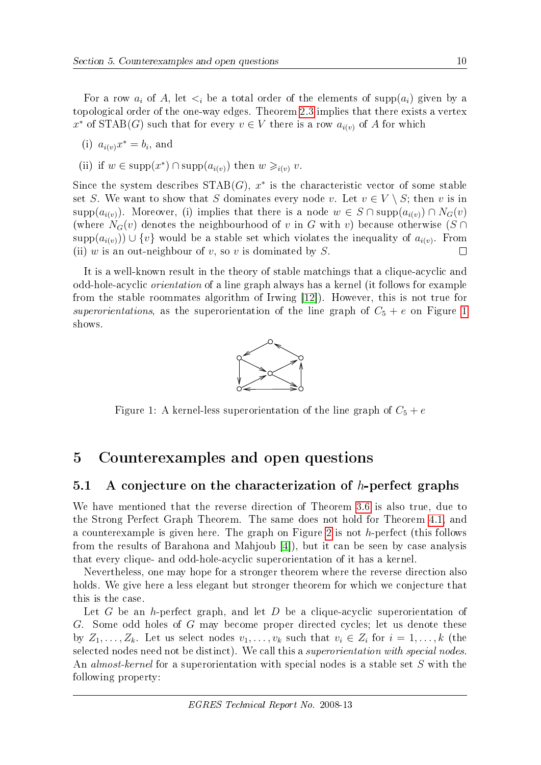For a row  $a_i$  of A, let  $\lt_i$  be a total order of the elements of supp( $a_i$ ) given by a topological order of the one-way edges. Theorem [2.3](#page-2-2) implies that there exists a vertex x<sup>\*</sup> of STAB(G) such that for every  $v \in V$  there is a row  $a_{i(v)}$  of A for which

(i) 
$$
a_{i(v)}x^* = b_i
$$
, and

(ii) if  $w \in \text{supp}(x^*) \cap \text{supp}(a_{i(v)})$  then  $w \geq_{i(v)} v$ .

Since the system describes  $STAB(G)$ ,  $x^*$  is the characteristic vector of some stable set S. We want to show that S dominates every node v. Let  $v \in V \setminus S$ ; then v is in supp $(a_{i(v)})$ . Moreover, (i) implies that there is a node  $w \in S \cap \text{supp}(a_{i(v)}) \cap N_G(v)$ (where  $N_G(v)$  denotes the neighbourhood of v in G with v) because otherwise (S ∩ supp $(a_{i(v)})\cup \{v\}$  would be a stable set which violates the inequality of  $a_{i(v)}$ . From (ii) w is an out-neighbour of v, so v is dominated by  $S$ .  $\Box$ 

It is a well-known result in the theory of stable matchings that a clique-acyclic and odd-hole-acyclic orientation of a line graph always has a kernel (it follows for example from the stable roommates algorithm of Irwing [\[12\]](#page-14-5)). However, this is not true for superorientations, as the superorientation of the line graph of  $C_5 + e$  on Figure [1](#page-10-1) shows.



<span id="page-10-1"></span>Figure 1: A kernel-less superorientation of the line graph of  $C_5 + e$ 

## <span id="page-10-0"></span>5 Counterexamples and open questions

#### 5.1 A conjecture on the characterization of  $h$ -perfect graphs

We have mentioned that the reverse direction of Theorem [3.6](#page-7-0) is also true, due to the Strong Perfect Graph Theorem. The same does not hold for Theorem [4.1,](#page-9-0) and a counterexample is given here. The graph on Figure [2](#page-11-0) is not h-perfect (this follows from the results of Barahona and Mahjoub [\[4\]](#page-13-4)), but it can be seen by case analysis that every clique- and odd-hole-acyclic superorientation of it has a kernel.

Nevertheless, one may hope for a stronger theorem where the reverse direction also holds. We give here a less elegant but stronger theorem for which we conjecture that this is the case.

Let G be an h-perfect graph, and let D be a clique-acyclic superorientation of G. Some odd holes of G may become proper directed cycles; let us denote these by  $Z_1, \ldots, Z_k$ . Let us select nodes  $v_1, \ldots, v_k$  such that  $v_i \in Z_i$  for  $i = 1, \ldots, k$  (the selected nodes need not be distinct). We call this a superorientation with special nodes. An *almost-kernel* for a superorientation with special nodes is a stable set S with the following property: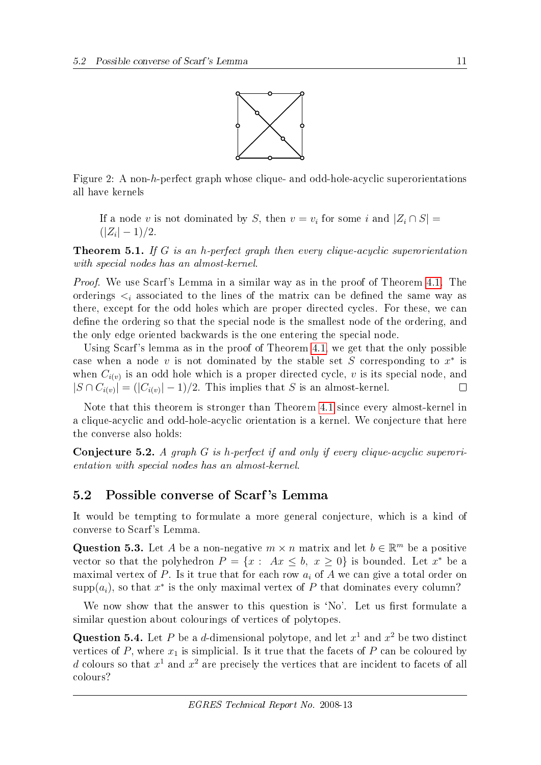

<span id="page-11-0"></span>Figure 2: A non-h-perfect graph whose clique- and odd-hole-acyclic superorientations all have kernels

If a node v is not dominated by S, then  $v = v_i$  for some i and  $|Z_i \cap S|$  =  $(|Z_i| - 1)/2.$ 

**Theorem 5.1.** If G is an h-perfect graph then every clique-acyclic superorientation with special nodes has an almost-kernel.

Proof. We use Scarf's Lemma in a similar way as in the proof of Theorem [4.1.](#page-9-0) The orderings  $\leq_i$  associated to the lines of the matrix can be defined the same way as there, except for the odd holes which are proper directed cycles. For these, we can define the ordering so that the special node is the smallest node of the ordering, and the only edge oriented backwards is the one entering the special node.

Using Scarf's lemma as in the proof of Theorem [4.1,](#page-9-0) we get that the only possible case when a node v is not dominated by the stable set S corresponding to  $x^*$  is when  $C_{i(v)}$  is an odd hole which is a proper directed cycle, v is its special node, and  $|S \cap C_{i(v)}| = (|C_{i(v)}| - 1)/2$ . This implies that S is an almost-kernel.  $\Box$ 

Note that this theorem is stronger than Theorem [4.1](#page-9-0) since every almost-kernel in a clique-acyclic and odd-hole-acyclic orientation is a kernel. We conjecture that here the converse also holds:

<span id="page-11-3"></span>Conjecture 5.2. A graph G is h-perfect if and only if every clique-acyclic superorientation with special nodes has an almost-kernel.

#### 5.2 Possible converse of Scarf 's Lemma

It would be tempting to formulate a more general conjecture, which is a kind of converse to Scarf's Lemma.

<span id="page-11-1"></span>Question 5.3. Let A be a non-negative  $m \times n$  matrix and let  $b \in \mathbb{R}^m$  be a positive vector so that the polyhedron  $P = \{x : Ax \leq b, x \geq 0\}$  is bounded. Let  $x^*$  be a maximal vertex of P. Is it true that for each row  $a_i$  of A we can give a total order on  $\text{supp}(a_i)$ , so that  $x^*$  is the only maximal vertex of P that dominates every column?

We now show that the answer to this question is 'No'. Let us first formulate a similar question about colourings of vertices of polytopes.

<span id="page-11-2"></span>Question 5.4. Let P be a d-dimensional polytope, and let  $x^1$  and  $x^2$  be two distinct vertices of P, where  $x_1$  is simplicial. Is it true that the facets of P can be coloured by d colours so that  $x^1$  and  $x^2$  are precisely the vertices that are incident to facets of all colours?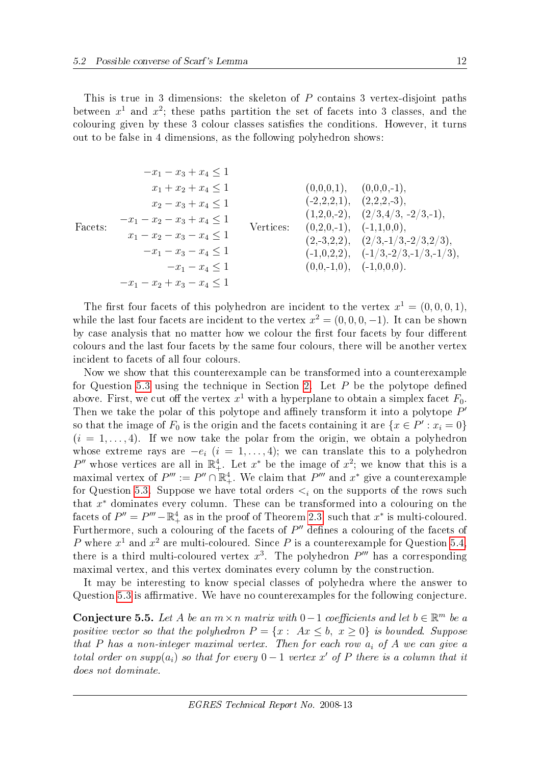This is true in 3 dimensions: the skeleton of  $P$  contains 3 vertex-disjoint paths between  $x^1$  and  $x^2$ ; these paths partition the set of facets into 3 classes, and the colouring given by these 3 colour classes satisfies the conditions. However, it turns out to be false in 4 dimensions, as the following polyhedron shows:

$$
-x_1 - x_3 + x_4 \le 1
$$
\n
$$
x_1 + x_2 + x_4 \le 1
$$
\n
$$
x_2 - x_3 + x_4 \le 1
$$
\n
$$
-x_1 - x_2 - x_3 + x_4 \le 1
$$
\n
$$
x_1 - x_2 - x_3 - x_4 \le 1
$$
\n
$$
-x_1 - x_3 - x_4 \le 1
$$
\n
$$
-x_1 - x_4 \le 1
$$
\n
$$
-x_1 - x_4 \le 1
$$
\n
$$
-x_1 - x_4 \le 1
$$
\n
$$
-x_1 - x_4 \le 1
$$
\n
$$
-x_1 - x_2 + x_3 - x_4 \le 1
$$
\n
$$
-x_1 - x_2 + x_3 - x_4 \le 1
$$
\n
$$
-x_1 - x_2 + x_3 - x_4 \le 1
$$
\n
$$
x_1 - x_2 + x_3 - x_4 \le 1
$$
\n
$$
-x_1 - x_2 + x_3 - x_4 \le 1
$$
\n
$$
-x_1 - x_2 + x_3 - x_4 \le 1
$$
\n
$$
x_1 - x_2 + x_3 - x_4 \le 1
$$
\n
$$
-x_1 - x_2 + x_3 - x_4 \le 1
$$
\n
$$
x_1 - x_2 + x_3 - x_4 \le 1
$$
\n
$$
x_1 - x_2 + x_3 - x_4 \le 1
$$
\n
$$
x_1 - x_2 + x_3 - x_4 \le 1
$$
\n
$$
x_1 - x_2 + x_3 - x_4 \le 1
$$
\n
$$
x_1 - x_2 + x_3 - x_4 \le 1
$$
\n
$$
x_1 - x_2 + x_3 - x_4 \le 1
$$
\n
$$
x_1 - x_2 + x_3 - x_4 \le 1
$$
\n
$$
x_1 - x_2 + x_3 - x_4 \le 1
$$
\n
$$
x_1 - x_2 + x_3 - x_4 \le 1
$$
\n
$$
x_1 - x_2 - x_3
$$

The first four facets of this polyhedron are incident to the vertex  $x^1 = (0, 0, 0, 1)$ , while the last four facets are incident to the vertex  $x^2 = (0, 0, 0, -1)$ . It can be shown by case analysis that no matter how we colour the first four facets by four different colours and the last four facets by the same four colours, there will be another vertex incident to facets of all four colours.

Now we show that this counterexample can be transformed into a counterexample for Question [5.3](#page-11-1) using the technique in Section [2.](#page-2-0) Let  $P$  be the polytope defined above. First, we cut off the vertex  $x^1$  with a hyperplane to obtain a simplex facet  $F_0$ . Then we take the polar of this polytope and affinely transform it into a polytope  $P'$ so that the image of  $F_0$  is the origin and the facets containing it are  $\{x \in P': x_i = 0\}$  $(i = 1, \ldots, 4)$ . If we now take the polar from the origin, we obtain a polyhedron whose extreme rays are  $-e_i$   $(i = 1, \ldots, 4)$ ; we can translate this to a polyhedron P'' whose vertices are all in  $\mathbb{R}^4_+$ . Let  $x^*$  be the image of  $x^2$ ; we know that this is a maximal vertex of  $P''' := P'' \cap \mathbb{R}^4_+$ . We claim that  $P'''$  and  $x^*$  give a counterexample for Question [5.3.](#page-11-1) Suppose we have total orders  $\lt_i$  on the supports of the rows such that  $x^*$  dominates every column. These can be transformed into a colouring on the facets of  $P'' = P''' - \mathbb{R}^4_+$  as in the proof of Theorem [2.3,](#page-2-2) such that  $x^*$  is multi-coloured. Furthermore, such a colouring of the facets of  $P''$  defines a colouring of the facets of P where  $x^1$  and  $x^2$  are multi-coloured. Since P is a counterexample for Question [5.4,](#page-11-2) there is a third multi-coloured vertex  $x^3$ . The polyhedron  $P'''$  has a corresponding maximal vertex, and this vertex dominates every column by the construction.

It may be interesting to know special classes of polyhedra where the answer to Question [5.3](#page-11-1) is affirmative. We have no counterexamples for the following conjecture.

<span id="page-12-0"></span>Conjecture 5.5. Let A be an  $m \times n$  matrix with 0 − 1 coefficients and let  $b \in \mathbb{R}^m$  be a positive vector so that the polyhedron  $P = \{x : Ax \leq b, x \geq 0\}$  is bounded. Suppose that P has a non-integer maximal vertex. Then for each row  $a_i$  of A we can give a total order on supp( $a_i$ ) so that for every  $0-1$  vertex x' of P there is a column that it does not dominate.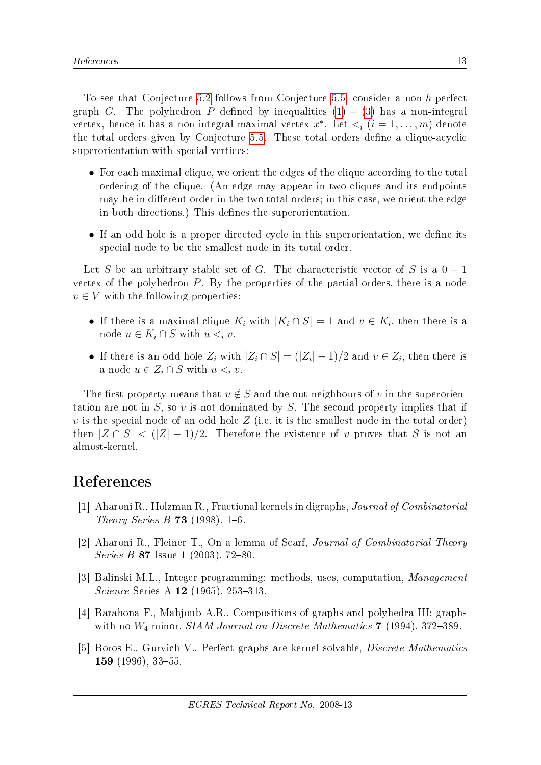To see that Conjecture [5.2](#page-11-3) follows from Conjecture [5.5,](#page-12-0) consider a non-h-perfect graph G. The polyhedron P defined by inequalities  $(1) - (3)$  $(1) - (3)$  $(1) - (3)$  has a non-integral vertex, hence it has a non-integral maximal vertex  $x^*$ . Let  $\lt_i$   $(i = 1, \ldots, m)$  denote the total orders given by Conjecture [5.5.](#page-12-0) These total orders define a clique-acyclic superorientation with special vertices:

- For each maximal clique, we orient the edges of the clique according to the total ordering of the clique. (An edge may appear in two cliques and its endpoints may be in different order in the two total orders; in this case, we orient the edge in both directions.) This defines the superorientation.
- If an odd hole is a proper directed cycle in this superorientation, we define its special node to be the smallest node in its total order.

Let S be an arbitrary stable set of G. The characteristic vector of S is a  $0-1$ vertex of the polyhedron P. By the properties of the partial orders, there is a node  $v \in V$  with the following properties:

- If there is a maximal clique  $K_i$  with  $|K_i \cap S| = 1$  and  $v \in K_i$ , then there is a node  $u \in K_i \cap S$  with  $u \leq_i v$ .
- If there is an odd hole  $Z_i$  with  $|Z_i \cap S| = (|Z_i| 1)/2$  and  $v \in Z_i$ , then there is a node  $u \in Z_i \cap S$  with  $u \leq_i v$ .

The first property means that  $v \notin S$  and the out-neighbours of v in the superorientation are not in  $S$ , so v is not dominated by  $S$ . The second property implies that if v is the special node of an odd hole  $Z$  (i.e. it is the smallest node in the total order) then  $|Z \cap S|$  <  $(|Z|-1)/2$ . Therefore the existence of v proves that S is not an almost-kernel.

## References

- <span id="page-13-3"></span>[1] Aharoni R., Holzman R., Fractional kernels in digraphs, Journal of Combinatorial Theory Series B **73** (1998), 1–6.
- <span id="page-13-1"></span>[2] Aharoni R., Fleiner T., On a lemma of Scarf, Journal of Combinatorial Theory Series B 87 Issue 1 (2003), 72-80.
- <span id="page-13-2"></span>[3] Balinski M.L., Integer programming: methods, uses, computation, Management *Science* Series A  $12$  (1965), 253-313.
- <span id="page-13-4"></span>[4] Barahona F., Mahjoub A.R., Compositions of graphs and polyhedra III: graphs with no  $W_4$  minor, SIAM Journal on Discrete Mathematics 7 (1994), 372-389.
- <span id="page-13-0"></span>[5] Boros E., Gurvich V., Perfect graphs are kernel solvable, Discrete Mathematics 159 (1996),  $33-55$ .